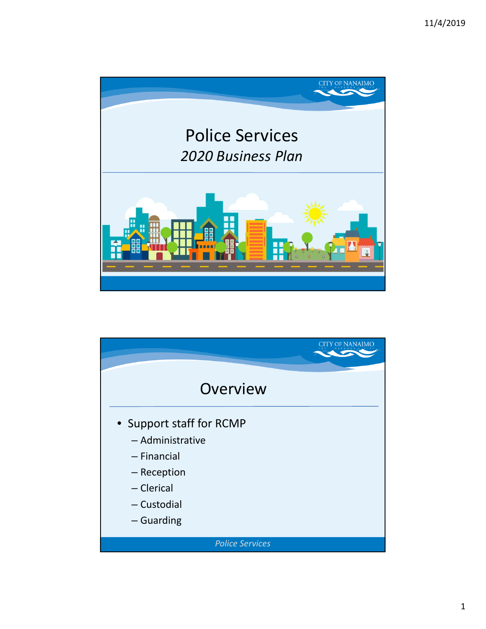

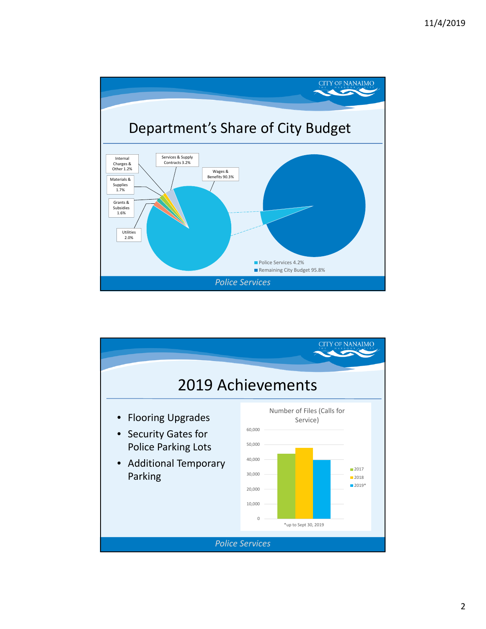

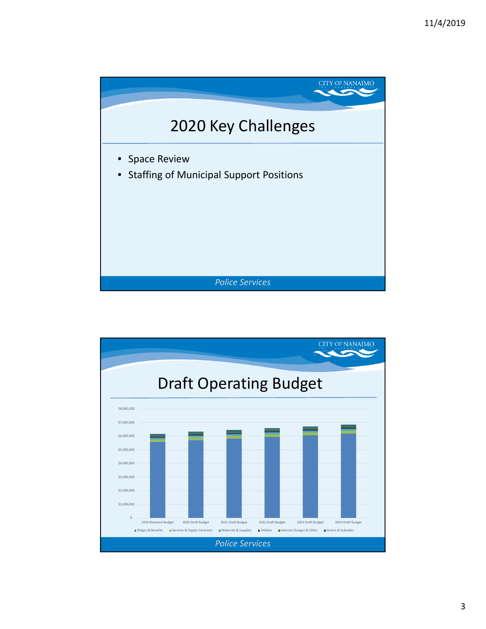